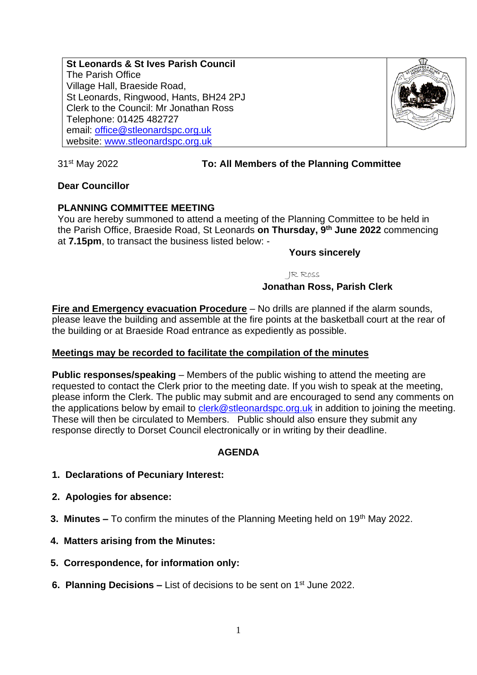**St Leonards & St Ives Parish Council** The Parish Office Village Hall, Braeside Road, St Leonards, Ringwood, Hants, BH24 2PJ Clerk to the Council: Mr Jonathan Ross Telephone: 01425 482727 email: [office@stleonardspc.org.uk](mailto:office@stleonardspc.org.uk) website: [www.stleonardspc.org.uk](http://www.stleonardspc.org.uk/)



#### 31st May 2022 **To: All Members of the Planning Committee**

### **Dear Councillor**

#### **PLANNING COMMITTEE MEETING**

You are hereby summoned to attend a meeting of the Planning Committee to be held in the Parish Office, Braeside Road, St Leonards **on Thursday, 9 th June 2022** commencing at **7.15pm**, to transact the business listed below: -

#### **Yours sincerely**

JR Ross

#### **Jonathan Ross, Parish Clerk**

**Fire and Emergency evacuation Procedure** – No drills are planned if the alarm sounds, please leave the building and assemble at the fire points at the basketball court at the rear of the building or at Braeside Road entrance as expediently as possible.

#### **Meetings may be recorded to facilitate the compilation of the minutes**

**Public responses/speaking** – Members of the public wishing to attend the meeting are requested to contact the Clerk prior to the meeting date. If you wish to speak at the meeting, please inform the Clerk. The public may submit and are encouraged to send any comments on the applications below by email to [clerk@stleonardspc.org.uk](mailto:clerk@stleonardspc.org.uk) in addition to joining the meeting. These will then be circulated to Members. Public should also ensure they submit any response directly to Dorset Council electronically or in writing by their deadline.

### **AGENDA**

- **1. Declarations of Pecuniary Interest:**
- **2. Apologies for absence:**
- **3. Minutes –** To confirm the minutes of the Planning Meeting held on 19<sup>th</sup> May 2022.
- **4. Matters arising from the Minutes:**
- **5. Correspondence, for information only:**
- **6. Planning Decisions List of decisions to be sent on 1<sup>st</sup> June 2022.**